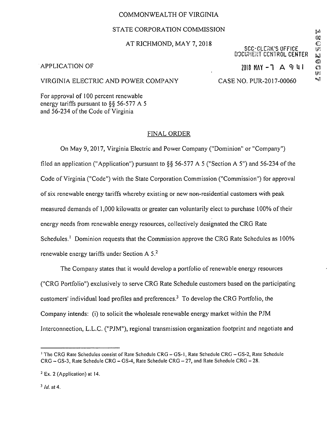# COMMONWEALTH OF VIRGINIA

# STATE CORPORATION COMMISSION

# at RICHMOND, MAY 7, 2018<br>© SCC-CLERK'S OFFICE

# SCC-CLCUK'S OFFICE m DOCUMENT CONTROL CENTER

 $APPLICATION OF$ <br>
2018 MAY -1 A 9: 41  $\frac{1}{100}$ 

## VIRGINIA ELECTRIC AND POWER COMPANY CASE NO. PUR-2017-00060

For approval of 100 percent renewable energy tariffs pursuant to §§ 56-577 A 5 and 56-234 of the Code of Virginia

## FINAL ORDER

On May 9, 2017, Virginia Electric and Power Company ("Dominion" or "Company") filed an application ("Application") pursuant to §§ 56-577 A 5 ("Section A 5") and 56-234 of the Code of Virginia ("Code") with the State Corporation Commission ("Commission") for approval of six renewable energy tariffs whereby existing or new non-residential customers with peak measured demands of 1,000 kilowatts or greater can voluntarily elect to purchase 100% of their energy needs from renewable energy resources, collectively designated the CRG Rate Schedules.<sup>1</sup> Dominion requests that the Commission approve the CRG Rate Schedules as 100% renewable energy tariffs under Section A 5.2

The Company states that it would develop a portfolio of renewable energy resources ("CRG Portfolio") exclusively to serve CRG Rate Schedule customers based on the participating customers' individual load profiles and preferences.3 To develop the CRG Portfolio, the Company intends: (i) to solicit the wholesale renewable energy market within the PJM Interconnection, L.L.C. ("PJM"), regional transmission organization footprint and negotiate and

<sup>&</sup>lt;sup>1</sup> The CRG Rate Schedules consist of Rate Schedule CRG - GS-1, Rate Schedule CRG - GS-2, Rate Schedule  $CRG - GS-3$ , Rate Schedule  $CRG - GS-4$ , Rate Schedule  $CRG - 27$ , and Rate Schedule  $CRG - 28$ .

<sup>2</sup> Ex. 2 (Application) at 14.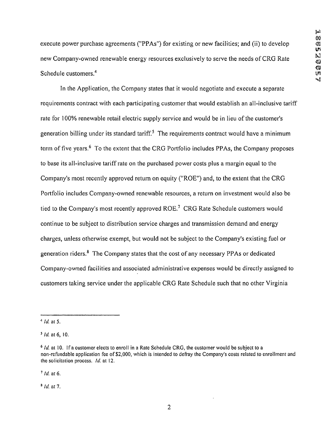execute power purchase agreements ("PPAs") for existing or new facilities; and (ii) to develop new Company-owned renewable energy resources exclusively to serve the needs of CRG Rate ^ Schedule customers.<sup>4</sup>

In the Application, the Company states that it would negotiate and execute a separate requirements contract with each participating customer that would establish an all-inclusive tariff rate for 100% renewable retail electric supply service and would be in lieu of the customer's generation billing under its standard tariff.<sup>5</sup> The requirements contract would have a minimum term of five years.<sup>6</sup> To the extent that the CRG Portfolio includes PPAs, the Company proposes to base its all-inclusive tariff rate on the purchased power costs plus a margin equal to the Company's most recently approved return on equity ("ROE") and, to the extent that the CRG Portfolio includes Company-owned renewable resources, a return on investment would also be tied to the Company's most recently approved ROE.7 CRG Rate Schedule customers would continue to be subject to distribution service charges and transmission demand and energy charges, unless otherwise exempt, but would not be subject to the Company's existing fuel or generation riders.8 The Company states that the cost of any necessary PPAs or dedicated Company-owned facilities and associated administrative expenses would be directly assigned to customers taking service under the applicable CRG Rate Schedule such that no other Virginia

 $7$  Id. at 6.

<sup>8</sup>Id. at 7.

 $4$  *Id.* at 5.

 $5$  *Id.* at 6, 10.

 $6$  *Id.* at 10. If a customer elects to enroll in a Rate Schedule CRG, the customer would be subject to a non-refundable application fee of \$2,000, which is intended to defray the Company's costs related to enrollment and the solicitation process. Id. at 12.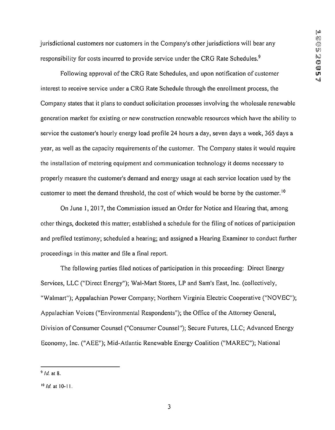jurisdictional customers nor customers in the Company's other jurisdictions will bear any responsibility for costs incurred to provide service under the CRG Rate Schedules.<sup>9</sup>

Following approval of the CRG Rate Schedules, and upon notification of customer  $\mathbf{w}$ interest to receive service under a CRG Rate Schedule through the enrollment process, the Company states that it plans to conduct solicitation processes involving the wholesale renewable generation market for existing or new construction renewable resources which have the ability to service the customer's hourly energy load profile 24 hours a day, seven days a week, 365 days a year, as well as the capacity requirements of the customer. The Company states it would require the installation of metering equipment and communication technology it deems necessary to properly measure the customer's demand and energy usage at each service location used by the customer to meet the demand threshold, the cost of which would be borne by the customer.<sup>10</sup>

On June 1, 2017, the Commission issued an Order for Notice and Hearing that, among other things, docketed this matter; established a schedule for the filing of notices of participation and prefiled testimony; scheduled a hearing; and assigned a Hearing Examiner to conduct further proceedings in this matter and file a final report.

The following parties filed notices of participation in this proceeding: Direct Energy Services, LLC ("Direct Energy"); Wal-Mart Stores, LP and Sam's East, Inc. (collectively, "Walmart"); Appalachian Power Company; Northern Virginia Electric Cooperative ("NOVEC"); Appalachian Voices ("Environmental Respondents"); the Office of the Attorney General, Division of Consumer Counsel ("Consumer Counsel"); Secure Futures, LLC; Advanced Energy Economy, Inc. ("AEE"); Mid-Atlantic Renewable Energy Coalition ("MAREC"); National

 $9$  Id. at 8.

 $10$  Id. at 10-11.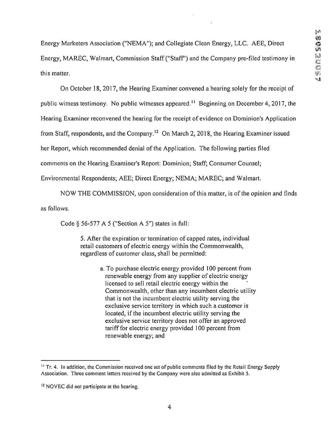Energy Marketers Association ("NEMA"); and Collegiate Clean Energy, LLC. AEE, Direct Energy, MAREC, Walmart, Commission Staff ("Staff') and the Company pre-filed testimony in this matter.

On October 18, 2017, the Hearing Examiner convened a hearing solely for the receipt of

public witness testimony. No public witnesses appeared.<sup>11</sup> Beginning on December 4, 2017, the

Hearing Examiner reconvened the hearing for the receipt of evidence on Dominion's Application

from Staff, respondents, and the Company.12 On March 2, 2018, the Hearing Examiner issued

her Report, which recommended denial of the Application. The following parties filed

comments on the Hearing Examiner's Report: Dominion; Staff; Consumer Counsel;

Environmental Respondents; AEE; Direct Energy; NEMA; MAREC; and Walmart.

NOW THE COMMISSION, upon consideration of this matter, is of the opinion and finds

as follows.

Code  $\S$  56-577 A 5 ("Section A 5") states in full:

5. After the expiration or termination of capped rates, individual retail customers of electric energy within the Commonwealth, regardless of customer class, shall be permitted:

> a. To purchase electric energy provided 100 percent from renewable energy from any supplier of electric energy licensed to sell retail electric energy within the Commonwealth, other than any incumbent electric utility that is not the incumbent electric utility serving the exclusive service territory in which such a customer is located, if the incumbent electric utility serving the exclusive service territory does not offer an approved tariff for electric energy provided 100 percent from renewable energy; and

 $<sup>11</sup>$  Tr. 4. In addition, the Commission received one set of public comments filed by the Retail Energy Supply</sup> Association. Three comment letters received by the Company were also admitted as Exhibit 5.

<sup>&</sup>lt;sup>12</sup> NOVEC did not participate at the hearing.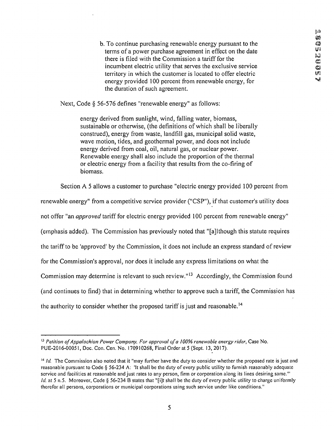b. To continue purchasing renewable energy pursuant to the terms of a power purchase agreement in effect on the date there is filed with the Commission a tariff for the incumbent electric utility that serves the exclusive service territory in which the customer is located to offer electric energy provided 100 percent from renewable energy, for the duration of such agreement.

Next, Code § 56-576 defines "renewable energy" as follows:

energy derived from sunlight, wind, falling water, biomass, sustainable or otherwise, (the definitions of which shall be liberally construed), energy from waste, landfill gas, municipal solid waste, wave motion, tides, and geothermal power, and does not include energy derived from coal, oil, natural gas, or nuclear power. Renewable energy shall also include the proportion of the thermal or electric energy from a facility that results from the co-firing of biomass.

Section A 5 allows a customer to purchase "electric energy provided 100 percent from

renewable energy" from a competitive service provider ("CSP"), if that customer's utility does

not offer "an approved tariff for electric energy provided 100 percent from renewable energy"

(emphasis added). The Commission has previously noted that "[ajlthough this statute requires

the tariff to be 'approved' by the Commission, it does not include an express standard of review

for the Commission's approval, nor does it include any express limitations on what the

Commission may determine is relevant to such review."13 Accordingly, the Commission found

(and continues to find) that in determining whether to approve such a tariff, the Commission has

the authority to consider whether the proposed tariff is just and reasonable.<sup>14</sup>

 $13$  Petition of Appalachian Power Company, For approval of a 100% renewable energy rider, Case No. PUE-2016-00051, Doc. Con. Cen. No. 170910268, Final Order at 5 (Sept. 13, 2017).

 $^{14}$  Id. The Commission also noted that it "may further have the duty to consider whether the proposed rate is just and reasonable pursuant to Code § 56-234 A: 'It shall be the duty of every public utility to furnish reasonably adequate service and facilities at reasonable and just rates to any person, firm or corporation along its lines desiring same.'" Id. at 5 n.5. Moreover, Code § 56-234 B states that "[i]t shall be the duty of every public utility to charge uniformly therefor all persons, corporations or municipal corporations using such service under like conditions."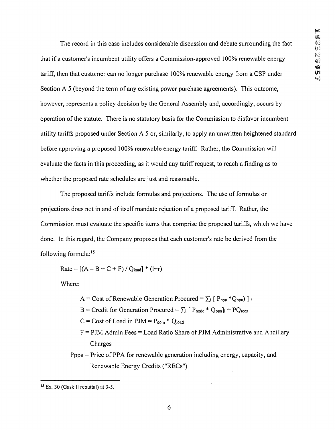The record in this case includes considerable discussion and debate surrounding the fact that if a customer's incumbent utility offers a Commission-approved 100% renewable energy tariff, then that customer can no longer purchase 100% renewable energy from a CSP under  $\mathbb{R}^n$ Section A 5 (beyond the term of any existing power purchase agreements). This outcome, however, represents a policy decision by the General Assembly and, accordingly, occurs by operation of the statute. There is no statutory basis for the Commission to disfavor incumbent utility tariffs proposed under Section A 5 or, similarly, to apply an unwritten heightened standard before approving a proposed 100% renewable energy tariff. Rather, the Commission will evaluate the facts in this proceeding, as it would any tariff request, to reach a finding as to whether the proposed rate schedules are just and reasonable.

The proposed tariffs include formulas and projections. The use of formulas or projections does not in and of itself mandate rejection of a proposed tariff. Rather, the Commission must evaluate the specific items that comprise the proposed tariffs, which we have done, in this regard, the Company proposes that each customer's rate be derived from the following formula:<sup>15</sup>

 $Rate = [(A - B + C + F) / Q_{load}] * (l+r)$ 

Where:

- A = Cost of Renewable Generation Procured =  $\sum_i [P_{ppa} * Q_{ppa}]_i$
- $B = C$ redit for Generation Procured =  $\Sigma_i$  [ P<sub>node</sub> \* Q<sub>ppa</sub>]<sub>i</sub> + PQ<sub>recs</sub>

 $C = Cost of Load in PJM = P<sub>dom</sub> * Q<sub>load</sub>$ 

 $F = PJM$  Admin Fees = Load Ratio Share of PJM Administrative and Ancillary Charges

Pppa = Price of PPA for renewable generation including energy, capacity, and Renewable Energy Credits ("RECs")

<sup>15</sup> Ex. 30 (Gaskill rebuttal) at 3-5.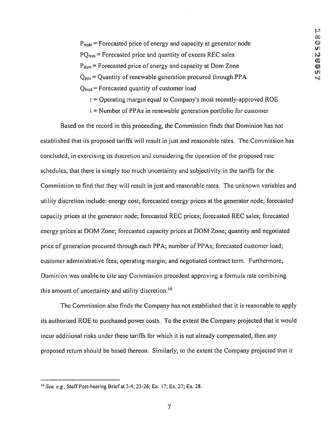$P_{node}$  = Forecasted price of energy and capacity at generator node  $PQ_{\text{recs}}$  = Forecasted price and quantity of excess REC sales  $\otimes$  $P_{\text{dom}}$  = Forecasted price of energy and capacity at Dom Zone  $\bullet$  **a**  $Q_{ppa}$  = Quantity of renewable generation procured through PPA  $Q<sub>load</sub>$  = Forecasted quantity of customer load

 $r =$  Operating margin equal to Company's most recently-approved ROE

i = Number of PPAs in renewable generation portfolio for customer

Based on the record in this proceeding, the Commission finds that Dominion has not established that its proposed tariffs will result in just and reasonable rates. The Commission has concluded, in exercising its discretion and considering the operation of the proposed rate schedules, that there is simply too much uncertainty and subjectivity in the tariffs for the Commission to find that they will result in just and reasonable rates. The unknown variables and utility discretion include: energy cost; forecasted energy prices at the generator node; forecasted capacity prices at the generator node; forecasted REC prices; forecasted REC sales; forecasted energy prices at DOM Zone; forecasted capacity prices at DOM Zone; quantity and negotiated price of generation procured through each PPA; number of PPAs; forecasted customer load; customer administrative fees; operating margin; and negotiated contract term. Furthermore, Dominion was unable to cite any Commission precedent approving a formula rate combining this amount of uncertainty and utility discretion.<sup>16</sup>

The Commission also finds the Company has not established that it is reasonable to apply its authorized ROE to purchased power costs. To the extent the Company projected that it would incur additional risks under these tariffs for which it is not already compensated, then any proposed return should be based thereon. Similarly, to the extent the Company projected that it

<sup>16</sup>See, e.g., Staff Post-hearing Brief at 3-4; 23-26; Ex. 17; Ex. 27; Ex. 28.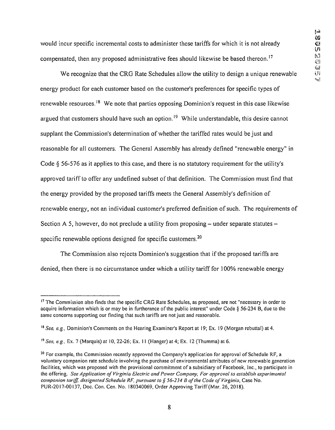would incur specific incremental costs to administer these tariffs for which it is not already  $\mathcal{G}_3$ compensated, then any proposed administrative fees should likewise be based thereon.<sup>17</sup>  $\mathbb{S}^3$ 

We recognize that the CRG Rate Schedules allow the utility to design a unique renewable energy product for each customer based on the customer's preferences for specific types of renewable resources.18 We note that parties opposing Dominion's request in this case likewise argued that customers should have such an option.<sup>19</sup> While understandable, this desire cannot supplant the Commission's determination of whether the tariffed rates would be just and reasonable for all customers. The General Assembly has already defined "renewable energy" in Code § 56-576 as it applies to this case, and there is no statutory requirement for the utility's approved tariff to offer any undefined subset of that definition. The Commission must find that the energy provided by the proposed tariffs meets the General Assembly's definition of renewable energy, not an individual customer's preferred definition of such. The requirements of Section A 5, however, do not preclude a utility from proposing  $-$  under separate statutes  $$ specific renewable options designed for specific customers.<sup>20</sup>

The Commission also rejects Dominion's suggestion that if the proposed tariffs are denied, then there is no circumstance under which a utility tariff for 100% renewable energy

<sup>&</sup>lt;sup>17</sup> The Commission also finds that the specific CRG Rate Schedules, as proposed, are not "necessary in order to acquire information which is or may be in furtherance of the public interest" under Code § 56-234 B, due to the same concerns supporting our finding that such tariffs are not just and reasonable.

<sup>&</sup>lt;sup>18</sup> See, e.g., Dominion's Comments on the Hearing Examiner's Report at 19; Ex. 19 (Morgan rebuttal) at 4.

<sup>19</sup>See, e.g., Ex. 7 (Marquis) at 10, 22-26; Ex. 11 (Hanger) at 4; Ex. 12 (Thumma) at 6.

<sup>&</sup>lt;sup>20</sup> For example, the Commission recently approved the Company's application for approval of Schedule RF, a voluntary companion rate schedule involving the purchase of environmental attributes of new renewable generation facilities, which was proposed with the provisional commitment of a subsidiary of Facebook, Inc., to participate in the offering. See Application of Virginia Electric and Power Company, For approval to establish experimental companion tariff, designated Schedule RF, pursuant to § 56-234 B of the Code of Virginia, Case No. PUR-20I7-00I37, Doc. Con. Cen.No. 180340069, Order Approving Tariff (Mar. 26, 2018).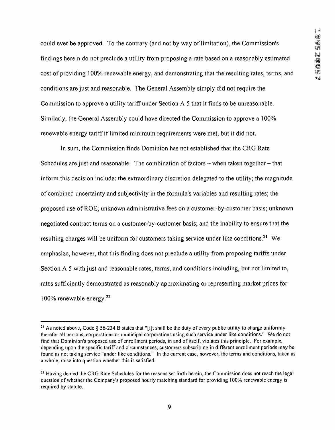could ever be approved. To the contrary (and not by way of limitation), the Commission's  $\lim_{n \to \infty}$  findings herein do not preclude a utility from proposing a rate based on a reasonably estimated cost of providing 100% renewable energy, and demonstrating that the resulting rates, terms, and  $\mathbb{F}^{\mathbb{F}}$ conditions are just and reasonable. The General Assembly simply did not require the Commission to approve a utility tariff under Section A 5 that it finds to be unreasonable. Similarly, the General Assembly could have directed the Commission to approve a 100% renewable energy tariff if limited minimum requirements were met, but it did not.

In sum, the Commission finds Dominion has not established that the CRG Rate Schedules are just and reasonable. The combination of factors  $-$  when taken together  $-$  that inform this decision include: the extraordinary discretion delegated to the utility; the magnitude of combined uncertainty and subjectivity in the formula's variables and resulting rates; the proposed use of ROE; unknown administrative fees on a customer-by-customer basis; unknown negotiated contract terms on a customer-by-customer basis; and the inability to ensure that the resulting charges will be uniform for customers taking service under like conditions.21 We emphasize, however, that this finding does not preclude a utility from proposing tariffs under Section A 5 with just and reasonable rates, terms, and conditions including, but not limited to, rates sufficiently demonstrated as reasonably approximating or representing market prices for 100% renewable energy.22

<sup>&</sup>lt;sup>21</sup> As noted above, Code § 56-234 B states that "[i]t shall be the duty of every public utility to charge uniformly therefor all persons, corporations or municipal corporations using such service under like conditions." We do not find that Dominion's proposed use of enrollment periods, in and of itself, violates this principle. For example, depending upon the specific tariff and circumstances, customers subscribing in different enrollment periods may be found as not taking service "under like conditions." In the current case, however, the terms and conditions, taken as a whole, raise into question whether this is satisfied.

<sup>&</sup>lt;sup>22</sup> Having denied the CRG Rate Schedules for the reasons set forth herein, the Commission does not reach the legal question of whether the Company's proposed hourly matching standard for providing 100% renewable energy is required by statute.